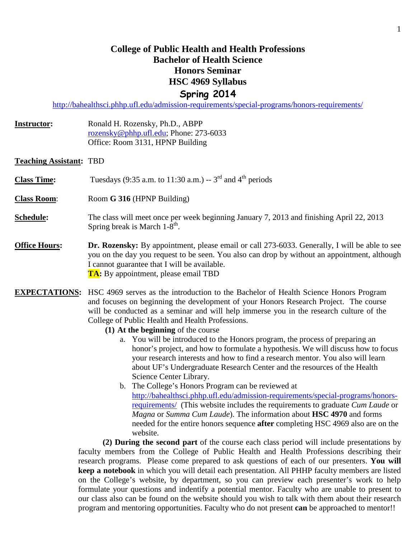# **College of Public Health and Health Professions Bachelor of Health Science Honors Seminar HSC 4969 Syllabus Spring 2014**

<http://bahealthsci.phhp.ufl.edu/admission-requirements/special-programs/honors-requirements/>

- **Instructor:** Ronald H. Rozensky, Ph.D., ABPP [rozensky@phhp.ufl.edu;](mailto:rozensky@phhp.ufl.edu) Phone: 273-6033 Office: Room 3131, HPNP Building
- **Teaching Assistant:** TBD

**Class Time:** Tuesdays  $(9:35 \text{ a.m. to } 11:30 \text{ a.m.}) - 3^{\text{rd}}$  and  $4^{\text{th}}$  periods

**Class Room**: Room **G 316** (HPNP Building)

- **Schedule:** The class will meet once per week beginning January 7, 2013 and finishing April 22, 2013 Spring break is March  $1-8^{th}$ .
- **Office Hours: Dr. Rozensky:** By appointment, please email or call 273-6033. Generally, I will be able to see you on the day you request to be seen. You also can drop by without an appointment, although I cannot guarantee that I will be available. **TA:** By appointment, please email TBD
- **EXPECTATIONS:** HSC 4969 serves as the introduction to the Bachelor of Health Science Honors Program and focuses on beginning the development of your Honors Research Project. The course will be conducted as a seminar and will help immerse you in the research culture of the College of Public Health and Health Professions.
	- **(1) At the beginning** of the course
		- a. You will be introduced to the Honors program, the process of preparing an honor's project, and how to formulate a hypothesis. We will discuss how to focus your research interests and how to find a research mentor. You also will learn about UF's Undergraduate Research Center and the resources of the Health Science Center Library.
		- b. The College's Honors Program can be reviewed at [http://bahealthsci.phhp.ufl.edu/admission-requirements/special-programs/honors](http://bahealthsci.phhp.ufl.edu/admission-requirements/special-programs/honors-requirements/)[requirements/](http://bahealthsci.phhp.ufl.edu/admission-requirements/special-programs/honors-requirements/) (This website includes the requirements to graduate *Cum Laude* or *Magna* or *Summa Cum Laude*). The information about **HSC 4970** and forms needed for the entire honors sequence **after** completing HSC 4969 also are on the website.

**(2) During the second part** of the course each class period will include presentations by faculty members from the College of Public Health and Health Professions describing their research programs. Please come prepared to ask questions of each of our presenters. **You will keep a notebook** in which you will detail each presentation. All PHHP faculty members are listed on the College's website, by department, so you can preview each presenter's work to help formulate your questions and indentify a potential mentor. Faculty who are unable to present to our class also can be found on the website should you wish to talk with them about their research program and mentoring opportunities. Faculty who do not present **can** be approached to mentor!!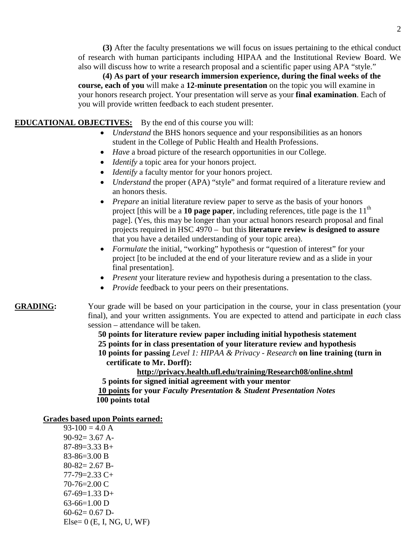**(3)** After the faculty presentations we will focus on issues pertaining to the ethical conduct of research with human participants including HIPAA and the Institutional Review Board. We also will discuss how to write a research proposal and a scientific paper using APA "style."

**(4) As part of your research immersion experience, during the final weeks of the course, each of you** will make a **12-minute presentation** on the topic you will examine in your honors research project. Your presentation will serve as your **final examination**. Each of you will provide written feedback to each student presenter.

### **EDUCATIONAL OBJECTIVES:** By the end of this course you will:

- *Understand* the BHS honors sequence and your responsibilities as an honors student in the College of Public Health and Health Professions.
- *Have* a broad picture of the research opportunities in our College.
- *Identify* a topic area for your honors project.
- *Identify* a faculty mentor for your honors project.
- *Understand* the proper (APA) "style" and format required of a literature review and an honors thesis.
- *Prepare* an initial literature review paper to serve as the basis of your honors project [this will be a  $10$  page paper, including references, title page is the  $11<sup>th</sup>$ page]. (Yes, this may be longer than your actual honors research proposal and final projects required in HSC 4970 – but this **literature review is designed to assure** that you have a detailed understanding of your topic area).
- *Formulate* the initial, "working" hypothesis or "question of interest" for your project [to be included at the end of your literature review and as a slide in your final presentation].
- *Present* your literature review and hypothesis during a presentation to the class.
- *Provide* feedback to your peers on their presentations.

### **GRADING:** Your grade will be based on your participation in the course, your in class presentation (your final), and your written assignments. You are expected to attend and participate in *each* class session – attendance will be taken.

 **50 points for literature review paper including initial hypothesis statement 25 points for in class presentation of your literature review and hypothesis 10 points for passing** *Level 1: HIPAA & Privacy - Research* **on line training (turn in certificate to Mr. Dorff):**

**<http://privacy.health.ufl.edu/training/Research08/online.shtml>**

 **5 points for signed initial agreement with your mentor 10 points for your** *Faculty Presentation* **&** *Student Presentation Notes*  **100 points total**

#### **Grades based upon Points earned:**

 $93-100 = 4.0 A$  $90-92= 3.67$  A- $87 - 89 = 3.33 B +$ 83-86=3.00 B 80-82= 2.67 B-77-79=2.33 C+ 70-76=2.00 C  $67-69=1.33$  D+ 63-66=1.00 D  $60-62=0.67$  D- $Else = 0$  (E, I, NG, U, WF)